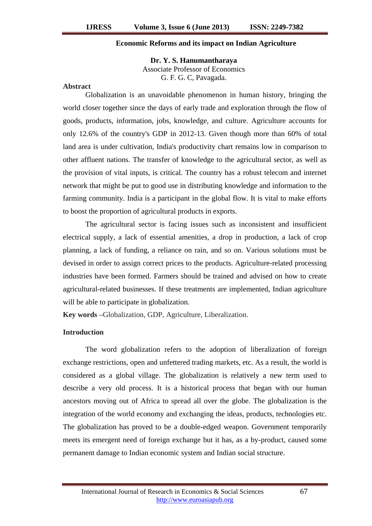### **Economic Reforms and its impact on Indian Agriculture**

**Dr. Y. S. Hanumantharaya** Associate Professor of Economics G. F. G. C, Pavagada.

#### **Abstract**

Globalization is an unavoidable phenomenon in human history, bringing the world closer together since the days of early trade and exploration through the flow of goods, products, information, jobs, knowledge, and culture. Agriculture accounts for only 12.6% of the country's GDP in 2012-13. Given though more than 60% of total land area is under cultivation, India's productivity chart remains low in comparison to other affluent nations. The transfer of knowledge to the agricultural sector, as well as the provision of vital inputs, is critical. The country has a robust telecom and internet network that might be put to good use in distributing knowledge and information to the farming community. India is a participant in the global flow. It is vital to make efforts to boost the proportion of agricultural products in exports.

The agricultural sector is facing issues such as inconsistent and insufficient electrical supply, a lack of essential amenities, a drop in production, a lack of crop planning, a lack of funding, a reliance on rain, and so on. Various solutions must be devised in order to assign correct prices to the products. Agriculture-related processing industries have been formed. Farmers should be trained and advised on how to create agricultural-related businesses. If these treatments are implemented, Indian agriculture will be able to participate in globalization.

**Key words –**Globalization, GDP, Agriculture, Liberalization.

## **Introduction**

The word globalization refers to the adoption of liberalization of foreign exchange restrictions, open and unfettered trading markets, etc. As a result, the world is considered as a global village. The globalization is relatively a new term used to describe a very old process. It is a historical process that began with our human ancestors moving out of Africa to spread all over the globe. The globalization is the integration of the world economy and exchanging the ideas, products, technologies etc. The globalization has proved to be a double-edged weapon. Government temporarily meets its emergent need of foreign exchange but it has, as a by-product, caused some permanent damage to Indian economic system and Indian social structure.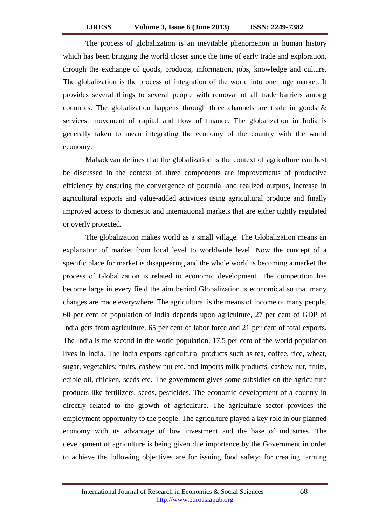The process of globalization is an inevitable phenomenon in human history which has been bringing the world closer since the time of early trade and exploration, through the exchange of goods, products, information, jobs, knowledge and culture. The globalization is the process of integration of the world into one huge market. It provides several things to several people with removal of all trade barriers among countries. The globalization happens through three channels are trade in goods & services, movement of capital and flow of finance. The globalization in India is generally taken to mean integrating the economy of the country with the world economy.

Mahadevan defines that the globalization is the context of agriculture can best be discussed in the context of three components are improvements of productive efficiency by ensuring the convergence of potential and realized outputs, increase in agricultural exports and value-added activities using agricultural produce and finally improved access to domestic and international markets that are either tightly regulated or overly protected.

The globalization makes world as a small village. The Globalization means an explanation of market from local level to worldwide level. Now the concept of a specific place for market is disappearing and the whole world is becoming a market the process of Globalization is related to economic development. The competition has become large in every field the aim behind Globalization is economical so that many changes are made everywhere. The agricultural is the means of income of many people, 60 per cent of population of India depends upon agriculture, 27 per cent of GDP of India gets from agriculture, 65 per cent of labor force and 21 per cent of total exports. The India is the second in the world population, 17.5 per cent of the world population lives in India. The India exports agricultural products such as tea, coffee, rice, wheat, sugar, vegetables; fruits, cashew nut etc. and imports milk products, cashew nut, fruits, edible oil, chicken, seeds etc. The government gives some subsidies on the agriculture products like fertilizers, seeds, pesticides. The economic development of a country in directly related to the growth of agriculture. The agriculture sector provides the employment opportunity to the people. The agriculture played a key role in our planned economy with its advantage of low investment and the base of industries. The development of agriculture is being given due importance by the Government in order to achieve the following objectives are for issuing food safety; for creating farming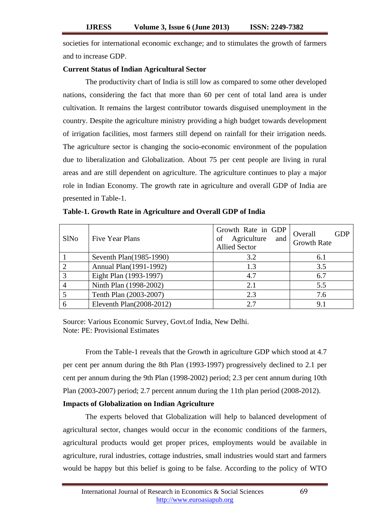societies for international economic exchange; and to stimulates the growth of farmers and to increase GDP.

# **Current Status of Indian Agricultural Sector**

The productivity chart of India is still low as compared to some other developed nations, considering the fact that more than 60 per cent of total land area is under cultivation. It remains the largest contributor towards disguised unemployment in the country. Despite the agriculture ministry providing a high budget towards development of irrigation facilities, most farmers still depend on rainfall for their irrigation needs. The agriculture sector is changing the socio-economic environment of the population due to liberalization and Globalization. About 75 per cent people are living in rural areas and are still dependent on agriculture. The agriculture continues to play a major role in Indian Economy. The growth rate in agriculture and overall GDP of India are presented in Table-1.

| <b>SINO</b>   | Five Year Plans          | Growth Rate in GDP<br>Agriculture and<br><b>Allied Sector</b> | Overall<br><b>GDP</b><br><b>Growth Rate</b> |
|---------------|--------------------------|---------------------------------------------------------------|---------------------------------------------|
|               | Seventh Plan(1985-1990)  | 3.2                                                           | 6.1                                         |
| $\mathcal{D}$ | Annual Plan(1991-1992)   | 1.3                                                           | 3.5                                         |
| 3             | Eight Plan (1993-1997)   | 4.7                                                           | 6.7                                         |
|               | Ninth Plan (1998-2002)   | 2.1                                                           | 5.5                                         |
|               | Tenth Plan (2003-2007)   | 2.3                                                           | 7.6                                         |
| 6             | Eleventh Plan(2008-2012) | 2.7                                                           | 9.1                                         |

**Table-1. Growth Rate in Agriculture and Overall GDP of India**

Source: Various Economic Survey, Govt.of India, New Delhi. Note: PE: Provisional Estimates

From the Table-1 reveals that the Growth in agriculture GDP which stood at 4.7 per cent per annum during the 8th Plan (1993-1997) progressively declined to 2.1 per cent per annum during the 9th Plan (1998-2002) period; 2.3 per cent annum during 10th Plan (2003-2007) period; 2.7 percent annum during the 11th plan period (2008-2012).

# **Impacts of Globalization on Indian Agriculture**

The experts beloved that Globalization will help to balanced development of agricultural sector, changes would occur in the economic conditions of the farmers, agricultural products would get proper prices, employments would be available in agriculture, rural industries, cottage industries, small industries would start and farmers would be happy but this belief is going to be false. According to the policy of WTO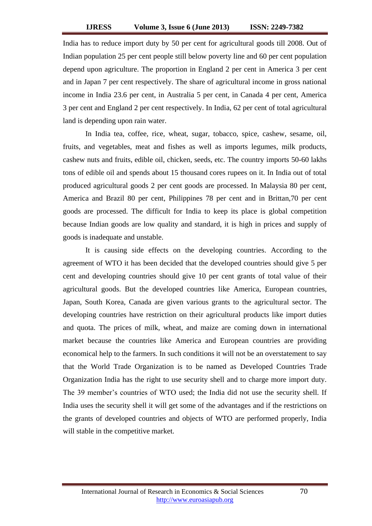India has to reduce import duty by 50 per cent for agricultural goods till 2008. Out of Indian population 25 per cent people still below poverty line and 60 per cent population depend upon agriculture. The proportion in England 2 per cent in America 3 per cent and in Japan 7 per cent respectively. The share of agricultural income in gross national income in India 23.6 per cent, in Australia 5 per cent, in Canada 4 per cent, America 3 per cent and England 2 per cent respectively. In India, 62 per cent of total agricultural land is depending upon rain water.

In India tea, coffee, rice, wheat, sugar, tobacco, spice, cashew, sesame, oil, fruits, and vegetables, meat and fishes as well as imports legumes, milk products, cashew nuts and fruits, edible oil, chicken, seeds, etc. The country imports 50-60 lakhs tons of edible oil and spends about 15 thousand cores rupees on it. In India out of total produced agricultural goods 2 per cent goods are processed. In Malaysia 80 per cent, America and Brazil 80 per cent, Philippines 78 per cent and in Brittan,70 per cent goods are processed. The difficult for India to keep its place is global competition because Indian goods are low quality and standard, it is high in prices and supply of goods is inadequate and unstable.

It is causing side effects on the developing countries. According to the agreement of WTO it has been decided that the developed countries should give 5 per cent and developing countries should give 10 per cent grants of total value of their agricultural goods. But the developed countries like America, European countries, Japan, South Korea, Canada are given various grants to the agricultural sector. The developing countries have restriction on their agricultural products like import duties and quota. The prices of milk, wheat, and maize are coming down in international market because the countries like America and European countries are providing economical help to the farmers. In such conditions it will not be an overstatement to say that the World Trade Organization is to be named as Developed Countries Trade Organization India has the right to use security shell and to charge more import duty. The 39 member's countries of WTO used; the India did not use the security shell. If India uses the security shell it will get some of the advantages and if the restrictions on the grants of developed countries and objects of WTO are performed properly, India will stable in the competitive market.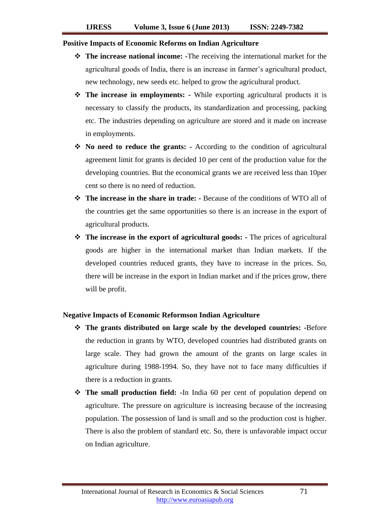#### **Positive Impacts of Economic Reforms on Indian Agriculture**

- **The increase national income: -**The receiving the international market for the agricultural goods of India, there is an increase in farmer's agricultural product, new technology, new seeds etc. helped to grow the agricultural product.
- **The increase in employments: -** While exporting agricultural products it is necessary to classify the products, its standardization and processing, packing etc. The industries depending on agriculture are stored and it made on increase in employments.
- **No need to reduce the grants: -** According to the condition of agricultural agreement limit for grants is decided 10 per cent of the production value for the developing countries. But the economical grants we are received less than 10per cent so there is no need of reduction.
- **The increase in the share in trade: -** Because of the conditions of WTO all of the countries get the same opportunities so there is an increase in the export of agricultural products.
- **The increase in the export of agricultural goods: -** The prices of agricultural goods are higher in the international market than Indian markets. If the developed countries reduced grants, they have to increase in the prices. So, there will be increase in the export in Indian market and if the prices grow, there will be profit.

### **Negative Impacts of Economic Reformson Indian Agriculture**

- **The grants distributed on large scale by the developed countries: -**Before the reduction in grants by WTO, developed countries had distributed grants on large scale. They had grown the amount of the grants on large scales in agriculture during 1988-1994. So, they have not to face many difficulties if there is a reduction in grants.
- **The small production field: -**In India 60 per cent of population depend on agriculture. The pressure on agriculture is increasing because of the increasing population. The possession of land is small and so the production cost is higher. There is also the problem of standard etc. So, there is unfavorable impact occur on Indian agriculture.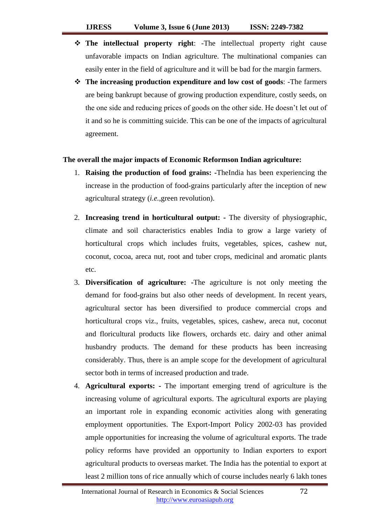- **The intellectual property right**: -The intellectual property right cause unfavorable impacts on Indian agriculture. The multinational companies can easily enter in the field of agriculture and it will be bad for the margin farmers.
- **The increasing production expenditure and low cost of goods**: -The farmers are being bankrupt because of growing production expenditure, costly seeds, on the one side and reducing prices of goods on the other side. He doesn't let out of it and so he is committing suicide. This can be one of the impacts of agricultural agreement.

# **The overall the major impacts of Economic Reformson Indian agriculture:**

- 1. **Raising the production of food grains: -**TheIndia has been experiencing the increase in the production of food-grains particularly after the inception of new agricultural strategy (*i.e.,*green revolution).
- 2. **Increasing trend in horticultural output: -** The diversity of physiographic, climate and soil characteristics enables India to grow a large variety of horticultural crops which includes fruits, vegetables, spices, cashew nut, coconut, cocoa, areca nut, root and tuber crops, medicinal and aromatic plants etc.
- 3. **Diversification of agriculture: -**The agriculture is not only meeting the demand for food-grains but also other needs of development. In recent years, agricultural sector has been diversified to produce commercial crops and horticultural crops viz., fruits, vegetables, spices, cashew, areca nut, coconut and floricultural products like flowers, orchards etc. dairy and other animal husbandry products. The demand for these products has been increasing considerably. Thus, there is an ample scope for the development of agricultural sector both in terms of increased production and trade.
- 4. **Agricultural exports: -** The important emerging trend of agriculture is the increasing volume of agricultural exports. The agricultural exports are playing an important role in expanding economic activities along with generating employment opportunities. The Export-Import Policy 2002-03 has provided ample opportunities for increasing the volume of agricultural exports. The trade policy reforms have provided an opportunity to Indian exporters to export agricultural products to overseas market. The India has the potential to export at least 2 million tons of rice annually which of course includes nearly 6 lakh tones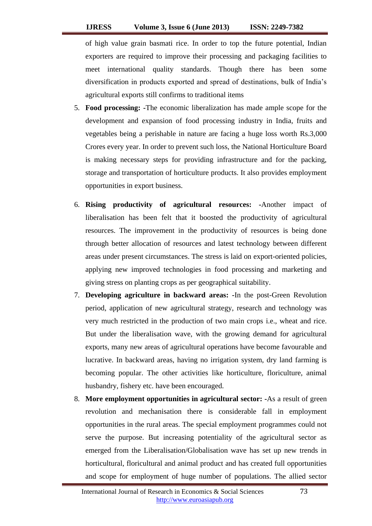of high value grain basmati rice. In order to top the future potential, Indian exporters are required to improve their processing and packaging facilities to meet international quality standards. Though there has been some diversification in products exported and spread of destinations, bulk of India's agricultural exports still confirms to traditional items

- 5. **Food processing: -**The economic liberalization has made ample scope for the development and expansion of food processing industry in India, fruits and vegetables being a perishable in nature are facing a huge loss worth Rs.3,000 Crores every year. In order to prevent such loss, the National Horticulture Board is making necessary steps for providing infrastructure and for the packing, storage and transportation of horticulture products. It also provides employment opportunities in export business.
- 6. **Rising productivity of agricultural resources: -**Another impact of liberalisation has been felt that it boosted the productivity of agricultural resources. The improvement in the productivity of resources is being done through better allocation of resources and latest technology between different areas under present circumstances. The stress is laid on export-oriented policies, applying new improved technologies in food processing and marketing and giving stress on planting crops as per geographical suitability.
- 7. **Developing agriculture in backward areas: -**In the post-Green Revolution period, application of new agricultural strategy, research and technology was very much restricted in the production of two main crops i.e., wheat and rice. But under the liberalisation wave, with the growing demand for agricultural exports, many new areas of agricultural operations have become favourable and lucrative. In backward areas, having no irrigation system, dry land farming is becoming popular. The other activities like horticulture, floriculture, animal husbandry, fishery etc. have been encouraged.
- 8. **More employment opportunities in agricultural sector: -**As a result of green revolution and mechanisation there is considerable fall in employment opportunities in the rural areas. The special employment programmes could not serve the purpose. But increasing potentiality of the agricultural sector as emerged from the Liberalisation/Globalisation wave has set up new trends in horticultural, floricultural and animal product and has created full opportunities and scope for employment of huge number of populations. The allied sector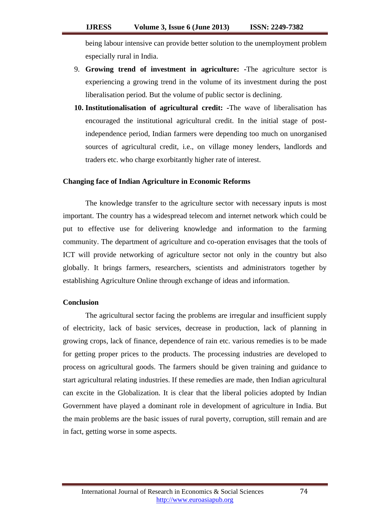being labour intensive can provide better solution to the unemployment problem especially rural in India.

- 9. **Growing trend of investment in agriculture: -**The agriculture sector is experiencing a growing trend in the volume of its investment during the post liberalisation period. But the volume of public sector is declining.
- **10. Institutionalisation of agricultural credit: -**The wave of liberalisation has encouraged the institutional agricultural credit. In the initial stage of postindependence period, Indian farmers were depending too much on unorganised sources of agricultural credit, i.e., on village money lenders, landlords and traders etc. who charge exorbitantly higher rate of interest.

## **Changing face of Indian Agriculture in Economic Reforms**

The knowledge transfer to the agriculture sector with necessary inputs is most important. The country has a widespread telecom and internet network which could be put to effective use for delivering knowledge and information to the farming community. The department of agriculture and co-operation envisages that the tools of ICT will provide networking of agriculture sector not only in the country but also globally. It brings farmers, researchers, scientists and administrators together by establishing Agriculture Online through exchange of ideas and information.

#### **Conclusion**

The agricultural sector facing the problems are irregular and insufficient supply of electricity, lack of basic services, decrease in production, lack of planning in growing crops, lack of finance, dependence of rain etc. various remedies is to be made for getting proper prices to the products. The processing industries are developed to process on agricultural goods. The farmers should be given training and guidance to start agricultural relating industries. If these remedies are made, then Indian agricultural can excite in the Globalization. It is clear that the liberal policies adopted by Indian Government have played a dominant role in development of agriculture in India. But the main problems are the basic issues of rural poverty, corruption, still remain and are in fact, getting worse in some aspects.